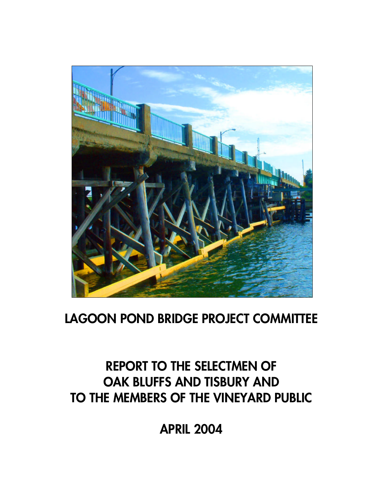## LAGOON POND BRIDGE PROJECT COMMITTEE

# REPORT TO THE SELECTMEN OF OAK BLUFFS AND TISBURY AND TO THE MEMBERS OF THE VINEYARD PUBLIC

APRIL 2004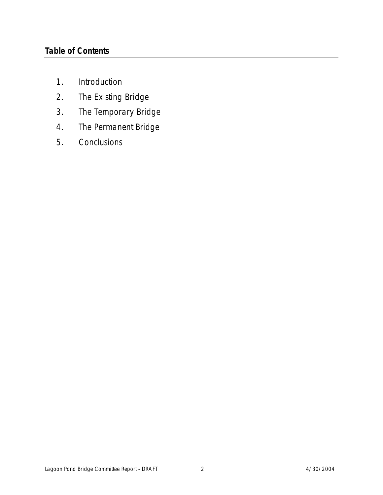### **Table of Contents**

- 1. Introduction
- 2. The Existing Bridge
- 3. The Temporary Bridge
- 4. The Permanent Bridge
- 5. Conclusions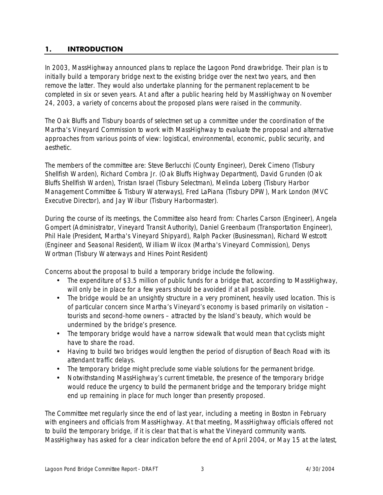#### **1. INTRODUCTION**

In 2003, MassHighway announced plans to replace the Lagoon Pond drawbridge. Their plan is to initially build a temporary bridge next to the existing bridge over the next two years, and then remove the latter. They would also undertake planning for the permanent replacement to be completed in six or seven years. At and after a public hearing held by MassHighway on November 24, 2003, a variety of concerns about the proposed plans were raised in the community.

The Oak Bluffs and Tisbury boards of selectmen set up a committee under the coordination of the Martha's Vineyard Commission to work with MassHighway to evaluate the proposal and alternative approaches from various points of view: logistical, environmental, economic, public security, and aesthetic.

The members of the committee are: Steve Berlucchi (County Engineer), Derek Cimeno (Tisbury Shellfish Warden), Richard Combra Jr. (Oak Bluffs Highway Department), David Grunden (Oak Bluffs Shellfish Warden), Tristan Israel (Tisbury Selectman), Melinda Loberg (Tisbury Harbor Management Committee & Tisbury Waterways), Fred LaPiana (Tisbury DPW), Mark London (MVC Executive Director), and Jay Wilbur (Tisbury Harbormaster).

During the course of its meetings, the Committee also heard from: Charles Carson (Engineer), Angela Gompert (Administrator, Vineyard Transit Authority), Daniel Greenbaum (Transportation Engineer), Phil Hale (President, Martha's Vineyard Shipyard), Ralph Packer (Businessman), Richard Westcott (Engineer and Seasonal Resident), William Wilcox (Martha's Vineyard Commission), Denys Wortman (Tisbury Waterways and Hines Point Resident)

Concerns about the proposal to build a temporary bridge include the following.

- The expenditure of \$3.5 million of public funds for a bridge that, according to MassHighway, will only be in place for a few years should be avoided if at all possible.
- The bridge would be an unsightly structure in a very prominent, heavily used location. This is of particular concern since Martha's Vineyard's economy is based primarily on visitation – tourists and second-home owners – attracted by the Island's beauty, which would be undermined by the bridge's presence.
- The temporary bridge would have a narrow sidewalk that would mean that cyclists might have to share the road.
- Having to build two bridges would lengthen the period of disruption of Beach Road with its attendant traffic delays.
- The temporary bridge might preclude some viable solutions for the permanent bridge.
- Notwithstanding MassHighway's current timetable, the presence of the temporary bridge would reduce the urgency to build the permanent bridge and the temporary bridge might end up remaining in place for much longer than presently proposed.

The Committee met regularly since the end of last year, including a meeting in Boston in February with engineers and officials from MassHighway. At that meeting, MassHighway officials offered not to build the temporary bridge, if it is clear that that is what the Vineyard community wants. MassHighway has asked for a clear indication before the end of April 2004, or May 15 at the latest,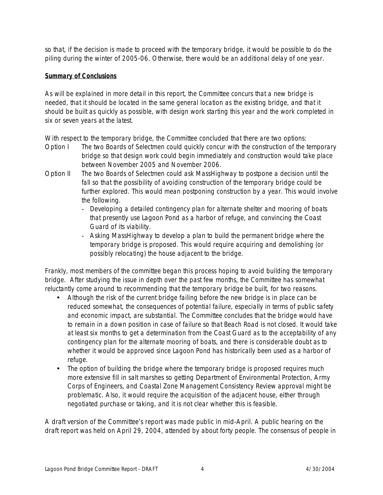so that, if the decision is made to proceed with the temporary bridge, it would be possible to do the piling during the winter of 2005-06. Otherwise, there would be an additional delay of one year.

#### **Summary of Conclusions**

As will be explained in more detail in this report, the Committee concurs that a new bridge is needed, that it should be located in the same general location as the existing bridge, and that it should be built as quickly as possible, with design work starting this year and the work completed in six or seven years at the latest.

With respect to the temporary bridge, the Committee concluded that there are two options:

- Option I The two Boards of Selectmen could quickly concur with the construction of the temporary bridge so that design work could begin immediately and construction would take place between November 2005 and November 2006.
- Option II The two Boards of Selectmen could ask MassHighway to postpone a decision until the fall so that the possibility of avoiding construction of the temporary bridge could be further explored. This would mean postponing construction by a year. This would involve the following.
	- Developing a detailed contingency plan for alternate shelter and mooring of boats that presently use Lagoon Pond as a harbor of refuge, and convincing the Coast Guard of its viability.
	- Asking MassHighway to develop a plan to build the permanent bridge where the temporary bridge is proposed. This would require acquiring and demolishing (or possibly relocating) the house adjacent to the bridge.

Frankly, most members of the committee began this process hoping to avoid building the temporary bridge. After studying the issue in depth over the past few months, the Committee has somewhat reluctantly come around to recommending that the temporary bridge be built, for two reasons.

- Although the risk of the current bridge failing before the new bridge is in place can be reduced somewhat, the consequences of potential failure, especially in terms of public safety and economic impact, are substantial. The Committee concludes that the bridge would have to remain in a down position in case of failure so that Beach Road is not closed. It would take at least six months to get a determination from the Coast Guard as to the acceptability of any contingency plan for the alternate mooring of boats, and there is considerable doubt as to whether it would be approved since Lagoon Pond has historically been used as a harbor of refuge.
- The option of building the bridge where the temporary bridge is proposed requires much more extensive fill in salt marshes so getting Department of Environmental Protection, Army Corps of Engineers, and Coastal Zone Management Consistency Review approval might be problematic. Also, it would require the acquisition of the adjacent house, either through negotiated purchase or taking, and it is not clear whether this is feasible.

A draft version of the Committee's report was made public in mid-April. A public hearing on the draft report was held on April 29, 2004, attended by about forty people. The consensus of people in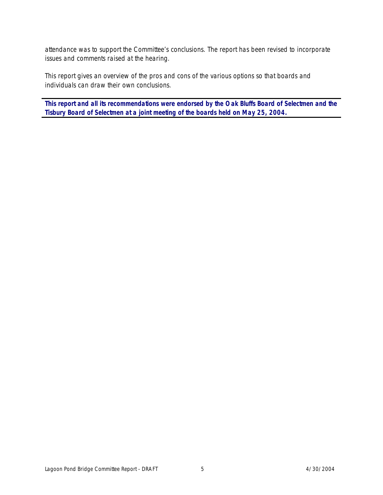attendance was to support the Committee's conclusions. The report has been revised to incorporate issues and comments raised at the hearing.

This report gives an overview of the pros and cons of the various options so that boards and individuals can draw their own conclusions.

**This report and all its recommendations were endorsed by the Oak Bluffs Board of Selectmen and the Tisbury Board of Selectmen at a joint meeting of the boards held on May 25, 2004.**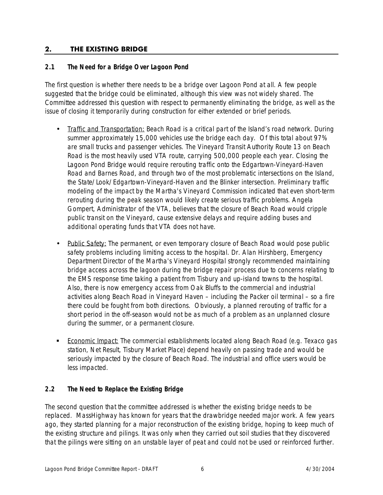#### **2. THE EXISTING BRIDGE**

#### **2.1 The Need for a Bridge Over Lagoon Pond**

The first question is whether there needs to be a bridge over Lagoon Pond at all. A few people suggested that the bridge could be eliminated, although this view was not widely shared. The Committee addressed this question with respect to permanently eliminating the bridge, as well as the issue of closing it temporarily during construction for either extended or brief periods.

- Traffic and Transportation: Beach Road is a critical part of the Island's road network. During summer approximately 15,000 vehicles use the bridge each day. Of this total about 97% are small trucks and passenger vehicles. The Vineyard Transit Authority Route 13 on Beach Road is the most heavily used VTA route, carrying 500,000 people each year. Closing the Lagoon Pond Bridge would require rerouting traffic onto the Edgartown-Vineyard-Haven Road and Barnes Road, and through two of the most problematic intersections on the Island, the State/Look/Edgartown-Vineyard-Haven and the Blinker intersection. Preliminary traffic modeling of the impact by the Martha's Vineyard Commission indicated that even short-term rerouting during the peak season would likely create serious traffic problems. Angela Gompert, Administrator of the VTA, believes that the closure of Beach Road would cripple public transit on the Vineyard, cause extensive delays and require adding buses and additional operating funds that VTA does not have.
- Public Safety: The permanent, or even temporary closure of Beach Road would pose public safety problems including limiting access to the hospital. Dr. Alan Hirshberg, Emergency Department Director of the Martha's Vineyard Hospital strongly recommended maintaining bridge access across the lagoon during the bridge repair process due to concerns relating to the EMS response time taking a patient from Tisbury and up-island towns to the hospital. Also, there is now emergency access from Oak Bluffs to the commercial and industrial activities along Beach Road in Vineyard Haven – including the Packer oil terminal – so a fire there could be fought from both directions. Obviously, a planned rerouting of traffic for a short period in the off-season would not be as much of a problem as an unplanned closure during the summer, or a permanent closure.
- **Economic Impact:** The commercial establishments located along Beach Road (e.g. Texaco gas station, Net Result, Tisbury Market Place) depend heavily on passing trade and would be seriously impacted by the closure of Beach Road. The industrial and office users would be less impacted.

#### **2.2 The Need to Replace the Existing Bridge**

The second question that the committee addressed is whether the existing bridge needs to be replaced. MassHighway has known for years that the drawbridge needed major work. A few years ago, they started planning for a major reconstruction of the existing bridge, hoping to keep much of the existing structure and pilings. It was only when they carried out soil studies that they discovered that the pilings were sitting on an unstable layer of peat and could not be used or reinforced further.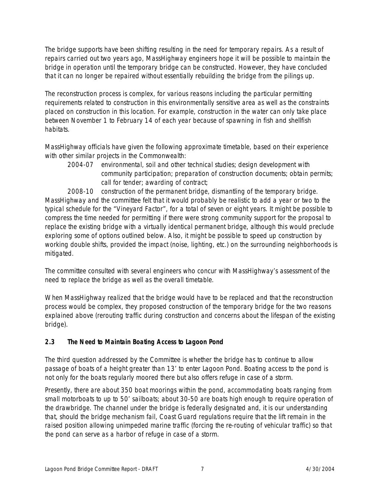The bridge supports have been shifting resulting in the need for temporary repairs. As a result of repairs carried out two years ago, MassHighway engineers hope it will be possible to maintain the bridge in operation until the temporary bridge can be constructed. However, they have concluded that it can no longer be repaired without essentially rebuilding the bridge from the pilings up.

The reconstruction process is complex, for various reasons including the particular permitting requirements related to construction in this environmentally sensitive area as well as the constraints placed on construction in this location. For example, construction in the water can only take place between November 1 to February 14 of each year because of spawning in fish and shellfish habitats.

MassHighway officials have given the following approximate timetable, based on their experience with other similar projects in the Commonwealth:

2004-07 environmental, soil and other technical studies; design development with community participation; preparation of construction documents; obtain permits; call for tender; awarding of contract;

2008-10 construction of the permanent bridge, dismantling of the temporary bridge. MassHighway and the committee felt that it would probably be realistic to add a year or two to the typical schedule for the "Vineyard Factor", for a total of seven or eight years. It might be possible to compress the time needed for permitting if there were strong community support for the proposal to replace the existing bridge with a virtually identical permanent bridge, although this would preclude exploring some of options outlined below. Also, it might be possible to speed up construction by working double shifts, provided the impact (noise, lighting, etc.) on the surrounding neighborhoods is mitigated.

The committee consulted with several engineers who concur with MassHighway's assessment of the need to replace the bridge as well as the overall timetable.

When MassHighway realized that the bridge would have to be replaced and that the reconstruction process would be complex, they proposed construction of the temporary bridge for the two reasons explained above (rerouting traffic during construction and concerns about the lifespan of the existing bridge).

#### **2.3 The Need to Maintain Boating Access to Lagoon Pond**

The third question addressed by the Committee is whether the bridge has to continue to allow passage of boats of a height greater than 13' to enter Lagoon Pond. Boating access to the pond is not only for the boats regularly moored there but also offers refuge in case of a storm.

Presently, there are about 350 boat moorings within the pond, accommodating boats ranging from small motorboats to up to 50' sailboats; about 30-50 are boats high enough to require operation of the drawbridge. The channel under the bridge is federally designated and, it is our understanding that, should the bridge mechanism fail, Coast Guard regulations require that the lift remain in the raised position allowing unimpeded marine traffic (forcing the re-routing of vehicular traffic) so that the pond can serve as a harbor of refuge in case of a storm.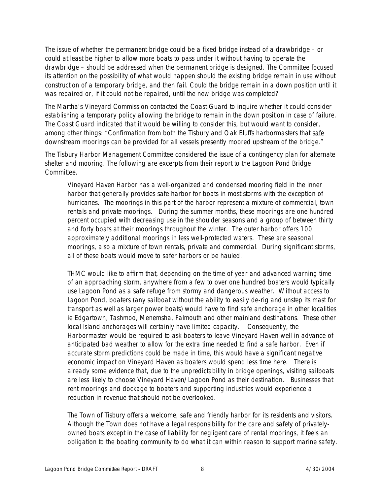The issue of whether the permanent bridge could be a fixed bridge instead of a drawbridge – or could at least be higher to allow more boats to pass under it without having to operate the drawbridge – should be addressed when the permanent bridge is designed. The Committee focused its attention on the possibility of what would happen should the existing bridge remain in use without construction of a temporary bridge, and then fail. Could the bridge remain in a down position until it was repaired or, if it could not be repaired, until the new bridge was completed?

The Martha's Vineyard Commission contacted the Coast Guard to inquire whether it could consider establishing a temporary policy allowing the bridge to remain in the down position in case of failure. The Coast Guard indicated that it would be willing to consider this, but would want to consider, among other things: "Confirmation from both the Tisbury and Oak Bluffs harbormasters that safe downstream moorings can be provided for all vessels presently moored upstream of the bridge."

The Tisbury Harbor Management Committee considered the issue of a contingency plan for alternate shelter and mooring. The following are excerpts from their report to the Lagoon Pond Bridge Committee.

*Vineyard Haven Harbor has a well-organized and condensed mooring field in the inner harbor that generally provides safe harbor for boats in most storms with the exception of hurricanes. The moorings in this part of the harbor represent a mixture of commercial, town rentals and private moorings. During the summer months, these moorings are one hundred percent occupied with decreasing use in the shoulder seasons and a group of between thirty and forty boats at their moorings throughout the winter. The outer harbor offers 100 approximately additional moorings in less well-protected waters. These are seasonal moorings, also a mixture of town rentals, private and commercial. During significant storms, all of these boats would move to safer harbors or be hauled.* 

*THMC would like to affirm that, depending on the time of year and advanced warning time of an approaching storm, anywhere from a few to over one hundred boaters would typically use Lagoon Pond as a safe refuge from stormy and dangerous weather. Without access to Lagoon Pond, boaters (any sailboat without the ability to easily de-rig and unstep its mast for transport as well as larger power boats) would have to find safe anchorage in other localities ie Edgartown, Tashmoo, Menemsha, Falmouth and other mainland destinations. These other local Island anchorages will certainly have limited capacity. Consequently, the Harbormaster would be required to ask boaters to leave Vineyard Haven well in advance of anticipated bad weather to allow for the extra time needed to find a safe harbor. Even if accurate storm predictions could be made in time, this would have a significant negative economic impact on Vineyard Haven as boaters would spend less time here. There is already some evidence that, due to the unpredictability in bridge openings, visiting sailboats are less likely to choose Vineyard Haven/Lagoon Pond as their destination. Businesses that rent moorings and dockage to boaters and supporting industries would experience a reduction in revenue that should not be overlooked.*

*The Town of Tisbury offers a welcome, safe and friendly harbor for its residents and visitors. Although the Town does not have a legal responsibility for the care and safety of privatelyowned boats except in the case of liability for negligent care of rental moorings, it feels an obligation to the boating community to do what it can within reason to support marine safety.*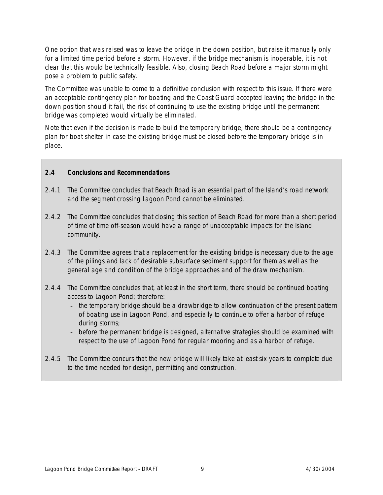One option that was raised was to leave the bridge in the down position, but raise it manually only for a limited time period before a storm. However, if the bridge mechanism is inoperable, it is not clear that this would be technically feasible. Also, closing Beach Road before a major storm might pose a problem to public safety.

The Committee was unable to come to a definitive conclusion with respect to this issue. If there were an acceptable contingency plan for boating and the Coast Guard accepted leaving the bridge in the down position should it fail, the risk of continuing to use the existing bridge until the permanent bridge was completed would virtually be eliminated.

Note that even if the decision is made to build the temporary bridge, there should be a contingency plan for boat shelter in case the existing bridge must be closed before the temporary bridge is in place.

#### **2.4 Conclusions and Recommendations**

- 2.4.1 The Committee concludes that Beach Road is an essential part of the Island's road network and the segment crossing Lagoon Pond cannot be eliminated.
- 2.4.2 The Committee concludes that closing this section of Beach Road for more than a short period of time of time off-season would have a range of unacceptable impacts for the Island community.
- 2.4.3 The Committee agrees that a replacement for the existing bridge is necessary due to the age of the pilings and lack of desirable subsurface sediment support for them as well as the general age and condition of the bridge approaches and of the draw mechanism.
- 2.4.4 The Committee concludes that, at least in the short term, there should be continued boating access to Lagoon Pond; therefore:
	- the temporary bridge should be a drawbridge to allow continuation of the present pattern of boating use in Lagoon Pond, and especially to continue to offer a harbor of refuge during storms;
	- before the permanent bridge is designed, alternative strategies should be examined with respect to the use of Lagoon Pond for regular mooring and as a harbor of refuge.
- 2.4.5 The Committee concurs that the new bridge will likely take at least six years to complete due to the time needed for design, permitting and construction.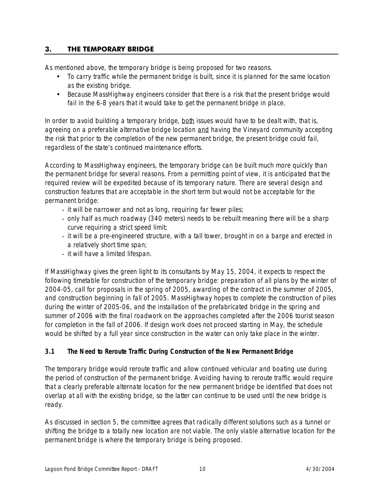#### **3. THE TEMPORARY BRIDGE**

As mentioned above, the temporary bridge is being proposed for two reasons.

- To carry traffic while the permanent bridge is built, since it is planned for the same location as the existing bridge.
- Because MassHighway engineers consider that there is a risk that the present bridge would fail in the 6-8 years that it would take to get the permanent bridge in place.

In order to avoid building a temporary bridge, both issues would have to be dealt with, that is, agreeing on a preferable alternative bridge location and having the Vineyard community accepting the risk that prior to the completion of the new permanent bridge, the present bridge could fail, regardless of the state's continued maintenance efforts.

According to MassHighway engineers, the temporary bridge can be built much more quickly than the permanent bridge for several reasons. From a permitting point of view, it is anticipated that the required review will be expedited because of its temporary nature. There are several design and construction features that are acceptable in the short term but would not be acceptable for the permanent bridge:

- it will be narrower and not as long, requiring far fewer piles;
- only half as much roadway (340 meters) needs to be rebuilt meaning there will be a sharp curve requiring a strict speed limit;
- it will be a pre-engineered structure, with a tall tower, brought in on a barge and erected in a relatively short time span;
- it will have a limited lifespan.

If MassHighway gives the green light to its consultants by May 15, 2004, it expects to respect the following timetable for construction of the temporary bridge: preparation of all plans by the winter of 2004-05, call for proposals in the spring of 2005, awarding of the contract in the summer of 2005, and construction beginning in fall of 2005. MassHighway hopes to complete the construction of piles during the winter of 2005-06, and the installation of the prefabricated bridge in the spring and summer of 2006 with the final roadwork on the approaches completed after the 2006 tourist season for completion in the fall of 2006. If design work does not proceed starting in May, the schedule would be shifted by a full year since construction in the water can only take place in the winter.

#### **3.1 The Need to Reroute Traffic During Construction of the New Permanent Bridge**

The temporary bridge would reroute traffic and allow continued vehicular and boating use during the period of construction of the permanent bridge. Avoiding having to reroute traffic would require that a clearly preferable alternate location for the new permanent bridge be identified that does not overlap at all with the existing bridge, so the latter can continue to be used until the new bridge is ready.

As discussed in section 5, the committee agrees that radically different solutions such as a tunnel or shifting the bridge to a totally new location are not viable. The only viable alternative location for the permanent bridge is where the temporary bridge is being proposed.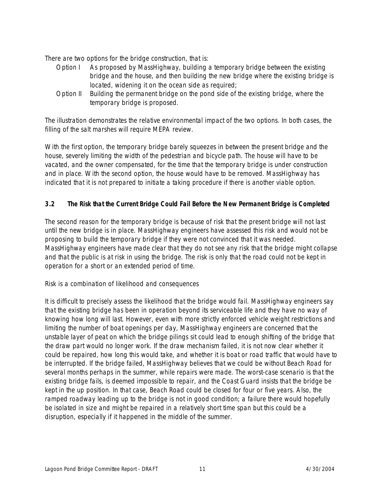There are two options for the bridge construction, that is:

- Option I As proposed by MassHighway, building a temporary bridge between the existing bridge and the house, and then building the new bridge where the existing bridge is located, widening it on the ocean side as required;
- Option II Building the permanent bridge on the pond side of the existing bridge, where the temporary bridge is proposed.

The illustration demonstrates the relative environmental impact of the two options. In both cases, the filling of the salt marshes will require MEPA review.

With the first option, the temporary bridge barely squeezes in between the present bridge and the house, severely limiting the width of the pedestrian and bicycle path. The house will have to be vacated, and the owner compensated, for the time that the temporary bridge is under construction and in place. With the second option, the house would have to be removed. MassHighway has indicated that it is not prepared to initiate a taking procedure if there is another viable option.

#### **3.2 The Risk that the Current Bridge Could Fail Before the New Permanent Bridge is Completed**

The second reason for the temporary bridge is because of risk that the present bridge will not last until the new bridge is in place. MassHighway engineers have assessed this risk and would not be proposing to build the temporary bridge if they were not convinced that it was needed. MassHighway engineers have made clear that they do not see any risk that the bridge might collapse and that the public is at risk in using the bridge. The risk is only that the road could not be kept in operation for a short or an extended period of time.

Risk is a combination of likelihood and consequences

It is difficult to precisely assess the likelihood that the bridge would fail. MassHighway engineers say that the existing bridge has been in operation beyond its serviceable life and they have no way of knowing how long will last. However, even with more strictly enforced vehicle weight restrictions and limiting the number of boat openings per day, MassHighway engineers are concerned that the unstable layer of peat on which the bridge pilings sit could lead to enough shifting of the bridge that the draw part would no longer work. If the draw mechanism failed, it is not now clear whether it could be repaired, how long this would take, and whether it is boat or road traffic that would have to be interrupted. If the bridge failed, MassHighway believes that we could be without Beach Road for several months perhaps in the summer, while repairs were made. The worst-case scenario is that the existing bridge fails, is deemed impossible to repair, and the Coast Guard insists that the bridge be kept in the up position. In that case, Beach Road could be closed for four or five years. Also, the ramped roadway leading up to the bridge is not in good condition; a failure there would hopefully be isolated in size and might be repaired in a relatively short time span but this could be a disruption, especially if it happened in the middle of the summer.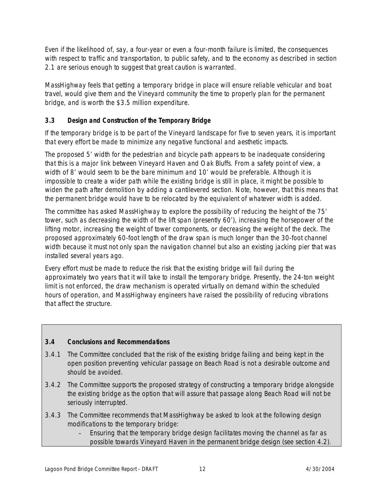Even if the likelihood of, say, a four-year or even a four-month failure is limited, the consequences with respect to traffic and transportation, to public safety, and to the economy as described in section 2.1 are serious enough to suggest that great caution is warranted.

MassHighway feels that getting a temporary bridge in place will ensure reliable vehicular and boat travel, would give them and the Vineyard community the time to properly plan for the permanent bridge, and is worth the \$3.5 million expenditure.

### **3.3 Design and Construction of the Temporary Bridge**

If the temporary bridge is to be part of the Vineyard landscape for five to seven years, it is important that every effort be made to minimize any negative functional and aesthetic impacts.

The proposed 5' width for the pedestrian and bicycle path appears to be inadequate considering that this is a major link between Vineyard Haven and Oak Bluffs. From a safety point of view, a width of 8' would seem to be the bare minimum and 10' would be preferable. Although it is impossible to create a wider path while the existing bridge is still in place, it might be possible to widen the path after demolition by adding a cantilevered section. Note, however, that this means that the permanent bridge would have to be relocated by the equivalent of whatever width is added.

The committee has asked MassHighway to explore the possibility of reducing the height of the 75' tower, such as decreasing the width of the lift span (presently 60'), increasing the horsepower of the lifting motor, increasing the weight of tower components, or decreasing the weight of the deck. The proposed approximately 60-foot length of the draw span is much longer than the 30-foot channel width because it must not only span the navigation channel but also an existing jacking pier that was installed several years ago.

Every effort must be made to reduce the risk that the existing bridge will fail during the approximately two years that it will take to install the temporary bridge. Presently, the 24-ton weight limit is not enforced, the draw mechanism is operated virtually on demand within the scheduled hours of operation, and MassHighway engineers have raised the possibility of reducing vibrations that affect the structure.

#### **3.4 Conclusions and Recommendations**

- 3.4.1 The Committee concluded that the risk of the existing bridge failing and being kept in the open position preventing vehicular passage on Beach Road is not a desirable outcome and should be avoided.
- 3.4.2 The Committee supports the proposed strategy of constructing a temporary bridge alongside the existing bridge as the option that will assure that passage along Beach Road will not be seriously interrupted.
- 3.4.3 The Committee recommends that MassHighway be asked to look at the following design modifications to the temporary bridge:
	- Ensuring that the temporary bridge design facilitates moving the channel as far as possible towards Vineyard Haven in the permanent bridge design (see section 4.2).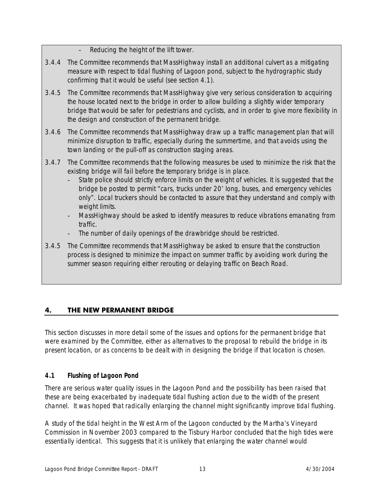- Reducing the height of the lift tower.
- 3.4.4 The Committee recommends that MassHighway install an additional culvert as a mitigating measure with respect to tidal flushing of Lagoon pond, subject to the hydrographic study confirming that it would be useful (see section 4.1).
- 3.4.5 The Committee recommends that MassHighway give very serious consideration to acquiring the house located next to the bridge in order to allow building a slightly wider temporary bridge that would be safer for pedestrians and cyclists, and in order to give more flexibility in the design and construction of the permanent bridge.
- 3.4.6 The Committee recommends that MassHighway draw up a traffic management plan that will minimize disruption to traffic, especially during the summertime, and that avoids using the town landing or the pull-off as construction staging areas.
- 3.4.7 The Committee recommends that the following measures be used to minimize the risk that the existing bridge will fail before the temporary bridge is in place.
	- State police should strictly enforce limits on the weight of vehicles. It is suggested that the bridge be posted to permit "cars, trucks under 20' long, buses, and emergency vehicles only". Local truckers should be contacted to assure that they understand and comply with weight limits.
	- MassHighway should be asked to identify measures to reduce vibrations emanating from traffic.
	- The number of daily openings of the drawbridge should be restricted.
- 3.4.5 The Committee recommends that MassHighway be asked to ensure that the construction process is designed to minimize the impact on summer traffic by avoiding work during the summer season requiring either rerouting or delaying traffic on Beach Road.

#### **4. THE NEW PERMANENT BRIDGE**

This section discusses in more detail some of the issues and options for the permanent bridge that were examined by the Committee, either as alternatives to the proposal to rebuild the bridge in its present location, or as concerns to be dealt with in designing the bridge if that location is chosen.

#### **4.1 Flushing of Lagoon Pond**

There are serious water quality issues in the Lagoon Pond and the possibility has been raised that these are being exacerbated by inadequate tidal flushing action due to the width of the present channel. It was hoped that radically enlarging the channel might significantly improve tidal flushing.

A study of the tidal height in the West Arm of the Lagoon conducted by the Martha's Vineyard Commission in November 2003 compared to the Tisbury Harbor concluded that the high tides were essentially identical. This suggests that it is unlikely that enlarging the water channel would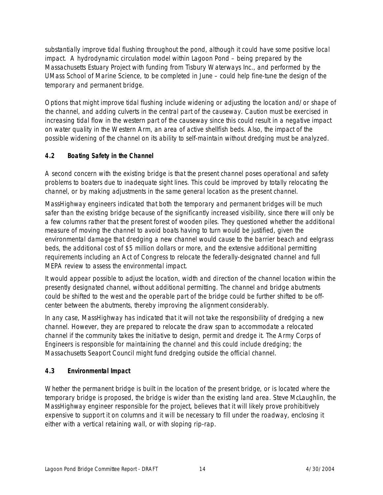substantially improve tidal flushing throughout the pond, although it could have some positive local impact. A hydrodynamic circulation model within Lagoon Pond – being prepared by the Massachusetts Estuary Project with funding from Tisbury Waterways Inc., and performed by the UMass School of Marine Science, to be completed in June – could help fine-tune the design of the temporary and permanent bridge.

Options that might improve tidal flushing include widening or adjusting the location and/or shape of the channel, and adding culverts in the central part of the causeway. Caution must be exercised in increasing tidal flow in the western part of the causeway since this could result in a negative impact on water quality in the Western Arm, an area of active shellfish beds. Also, the impact of the possible widening of the channel on its ability to self-maintain without dredging must be analyzed.

#### **4.2 Boating Safety in the Channel**

A second concern with the existing bridge is that the present channel poses operational and safety problems to boaters due to inadequate sight lines. This could be improved by totally relocating the channel, or by making adjustments in the same general location as the present channel.

MassHighway engineers indicated that both the temporary and permanent bridges will be much safer than the existing bridge because of the significantly increased visibility, since there will only be a few columns rather that the present forest of wooden piles. They questioned whether the additional measure of moving the channel to avoid boats having to turn would be justified, given the environmental damage that dredging a new channel would cause to the barrier beach and eelgrass beds, the additional cost of \$5 million dollars or more, and the extensive additional permitting requirements including an Act of Congress to relocate the federally-designated channel and full MEPA review to assess the environmental impact.

It would appear possible to adjust the location, width and direction of the channel location within the presently designated channel, without additional permitting. The channel and bridge abutments could be shifted to the west and the operable part of the bridge could be further shifted to be offcenter between the abutments, thereby improving the alignment considerably.

In any case, MassHighway has indicated that it will not take the responsibility of dredging a new channel. However, they are prepared to relocate the draw span to accommodate a relocated channel if the community takes the initiative to design, permit and dredge it. The Army Corps of Engineers is responsible for maintaining the channel and this could include dredging; the Massachusetts Seaport Council might fund dredging outside the official channel.

#### **4.3 Environmental Impact**

Whether the permanent bridge is built in the location of the present bridge, or is located where the temporary bridge is proposed, the bridge is wider than the existing land area. Steve McLaughlin, the MassHighway engineer responsible for the project, believes that it will likely prove prohibitively expensive to support it on columns and it will be necessary to fill under the roadway, enclosing it either with a vertical retaining wall, or with sloping rip-rap.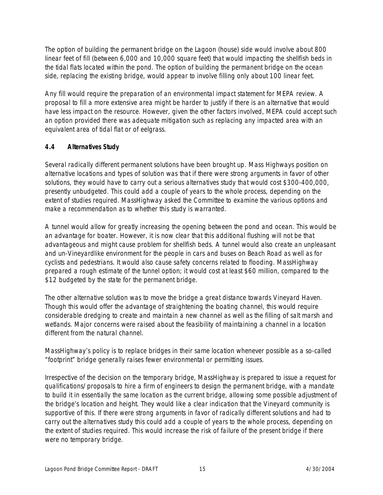The option of building the permanent bridge on the Lagoon (house) side would involve about 800 linear feet of fill (between 6,000 and 10,000 square feet) that would impacting the shellfish beds in the tidal flats located within the pond. The option of building the permanent bridge on the ocean side, replacing the existing bridge, would appear to involve filling only about 100 linear feet.

Any fill would require the preparation of an environmental impact statement for MEPA review. A proposal to fill a more extensive area might be harder to justify if there is an alternative that would have less impact on the resource. However, given the other factors involved, MEPA could accept such an option provided there was adequate mitigation such as replacing any impacted area with an equivalent area of tidal flat or of eelgrass.

#### **4.4 Alternatives Study**

Several radically different permanent solutions have been brought up. Mass Highways position on alternative locations and types of solution was that if there were strong arguments in favor of other solutions, they would have to carry out a serious alternatives study that would cost \$300-400,000, presently unbudgeted. This could add a couple of years to the whole process, depending on the extent of studies required. MassHighway asked the Committee to examine the various options and make a recommendation as to whether this study is warranted.

A tunnel would allow for greatly increasing the opening between the pond and ocean. This would be an advantage for boater. However, it is now clear that this additional flushing will not be that advantageous and might cause problem for shellfish beds. A tunnel would also create an unpleasant and un-Vineyardlike environment for the people in cars and buses on Beach Road as well as for cyclists and pedestrians. It would also cause safety concerns related to flooding. MassHighway prepared a rough estimate of the tunnel option; it would cost at least \$60 million, compared to the \$12 budgeted by the state for the permanent bridge.

The other alternative solution was to move the bridge a great distance towards Vineyard Haven. Though this would offer the advantage of straightening the boating channel, this would require considerable dredging to create and maintain a new channel as well as the filling of salt marsh and wetlands. Major concerns were raised about the feasibility of maintaining a channel in a location different from the natural channel.

MassHighway's policy is to replace bridges in their same location whenever possible as a so-called "footprint" bridge generally raises fewer environmental or permitting issues.

Irrespective of the decision on the temporary bridge, MassHighway is prepared to issue a request for qualifications/proposals to hire a firm of engineers to design the permanent bridge, with a mandate to build it in essentially the same location as the current bridge, allowing some possible adjustment of the bridge's location and height. They would like a clear indication that the Vineyard community is supportive of this. If there were strong arguments in favor of radically different solutions and had to carry out the alternatives study this could add a couple of years to the whole process, depending on the extent of studies required. This would increase the risk of failure of the present bridge if there were no temporary bridge.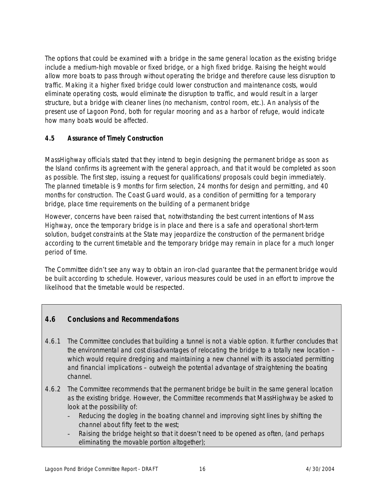The options that could be examined with a bridge in the same general location as the existing bridge include a medium-high movable or fixed bridge, or a high fixed bridge. Raising the height would allow more boats to pass through without operating the bridge and therefore cause less disruption to traffic. Making it a higher fixed bridge could lower construction and maintenance costs, would eliminate operating costs, would eliminate the disruption to traffic, and would result in a larger structure, but a bridge with cleaner lines (no mechanism, control room, etc.). An analysis of the present use of Lagoon Pond, both for regular mooring and as a harbor of refuge, would indicate how many boats would be affected.

#### **4.5 Assurance of Timely Construction**

MassHighway officials stated that they intend to begin designing the permanent bridge as soon as the Island confirms its agreement with the general approach, and that it would be completed as soon as possible. The first step, issuing a request for qualifications/proposals could begin immediately. The planned timetable is 9 months for firm selection, 24 months for design and permitting, and 40 months for construction. The Coast Guard would, as a condition of permitting for a temporary bridge, place time requirements on the building of a permanent bridge

However, concerns have been raised that, notwithstanding the best current intentions of Mass Highway, once the temporary bridge is in place and there is a safe and operational short-term solution, budget constraints at the State may jeopardize the construction of the permanent bridge according to the current timetable and the temporary bridge may remain in place for a much longer period of time.

The Committee didn't see any way to obtain an iron-clad guarantee that the permanent bridge would be built according to schedule. However, various measures could be used in an effort to improve the likelihood that the timetable would be respected.

#### **4.6 Conclusions and Recommendations**

- 4.6.1 The Committee concludes that building a tunnel is not a viable option. It further concludes that the environmental and cost disadvantages of relocating the bridge to a totally new location – which would require dredging and maintaining a new channel with its associated permitting and financial implications – outweigh the potential advantage of straightening the boating channel.
- 4.6.2 The Committee recommends that the permanent bridge be built in the same general location as the existing bridge. However, the Committee recommends that MassHighway be asked to look at the possibility of:
	- Reducing the dogleg in the boating channel and improving sight lines by shifting the channel about fifty feet to the west;
	- Raising the bridge height so that it doesn't need to be opened as often, (and perhaps eliminating the movable portion altogether);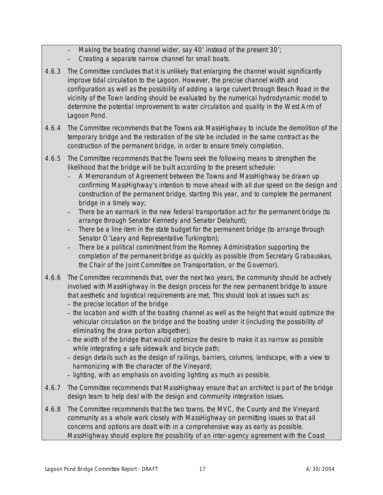- Making the boating channel wider, say 40' instead of the present 30';
- Creating a separate narrow channel for small boats.
- 4.6.3 The Committee concludes that it is unlikely that enlarging the channel would significantly improve tidal circulation to the Lagoon. However, the precise channel width and configuration as well as the possibility of adding a large culvert through Beach Road in the vicinity of the Town landing should be evaluated by the numerical hydrodynamic model to determine the potential improvement to water circulation and quality in the West Arm of Lagoon Pond.
- 4.6.4 The Committee recommends that the Towns ask MassHighway to include the demolition of the temporary bridge and the restoration of the site be included in the same contract as the construction of the permanent bridge, in order to ensure timely completion.
- 4.6.5 The Committee recommends that the Towns seek the following means to strengthen the likelihood that the bridge will be built according to the present schedule:
	- A Memorandum of Agreement between the Towns and MassHighway be drawn up confirming MassHighway's intention to move ahead with all due speed on the design and construction of the permanent bridge, starting this year, and to complete the permanent bridge in a timely way;
	- There be an earmark in the new federal transportation act for the permanent bridge (to arrange through Senator Kennedy and Senator Delahunt);
	- There be a line item in the state budget for the permanent bridge (to arrange through Senator O'Leary and Representative Turkington);
	- There be a political commitment from the Romney Administration supporting the completion of the permanent bridge as quickly as possible (from Secretary Grabauskas, the Chair of the Joint Committee on Transportation, or the Governor).
- 4.6.6 The Committee recommends that, over the next two years, the community should be actively involved with MassHighway in the design process for the new permanent bridge to assure that aesthetic and logistical requirements are met. This should look at issues such as:
	- the precise location of the bridge
	- the location and width of the boating channel as well as the height that would optimize the vehicular circulation on the bridge and the boating under it (including the possibility of eliminating the draw portion altogether);
	- the width of the bridge that would optimize the desire to make it as narrow as possible while integrating a safe sidewalk and bicycle path;
	- design details such as the design of railings, barriers, columns, landscape, with a view to harmonizing with the character of the Vineyard;
	- lighting, with an emphasis on avoiding lighting as much as possible.
- 4.6.7 The Committee recommends that MassHighway ensure that an architect is part of the bridge design team to help deal with the design and community integration issues.
- 4.6.8 The Committee recommends that the two towns, the MVC, the County and the Vineyard community as a whole work closely with MassHighway on permitting issues so that all concerns and options are dealt with in a comprehensive way as early as possible. MassHighway should explore the possibility of an inter-agency agreement with the Coast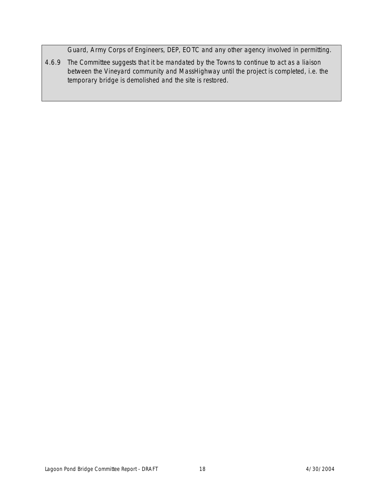Guard, Army Corps of Engineers, DEP, EOTC and any other agency involved in permitting.

4.6.9 The Committee suggests that it be mandated by the Towns to continue to act as a liaison between the Vineyard community and MassHighway until the project is completed, i.e. the temporary bridge is demolished and the site is restored.